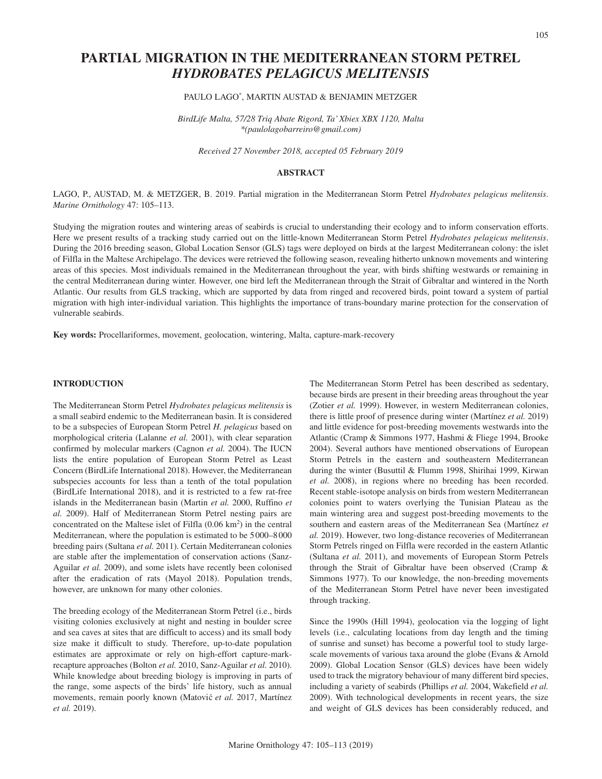# **PARTIAL MIGRATION IN THE MEDITERRANEAN STORM PETREL**  *HYDROBATES PELAGICUS MELITENSIS*

# PAULO LAGO\*, MARTIN AUSTAD & BENJAMIN METZGER

*BirdLife Malta, 57/28 Triq Abate Rigord, Ta' Xbiex XBX 1120, Malta \*(paulolagobarreiro@gmail.com)*

*Received 27 November 2018, accepted 05 February 2019*

# **ABSTRACT**

LAGO, P., AUSTAD, M. & METZGER, B. 2019. Partial migration in the Mediterranean Storm Petrel *Hydrobates pelagicus melitensis*. *Marine Ornithology* 47: 105–113.

Studying the migration routes and wintering areas of seabirds is crucial to understanding their ecology and to inform conservation efforts. Here we present results of a tracking study carried out on the little-known Mediterranean Storm Petrel *Hydrobates pelagicus melitensis*. During the 2016 breeding season, Global Location Sensor (GLS) tags were deployed on birds at the largest Mediterranean colony: the islet of Filfla in the Maltese Archipelago. The devices were retrieved the following season, revealing hitherto unknown movements and wintering areas of this species. Most individuals remained in the Mediterranean throughout the year, with birds shifting westwards or remaining in the central Mediterranean during winter. However, one bird left the Mediterranean through the Strait of Gibraltar and wintered in the North Atlantic. Our results from GLS tracking, which are supported by data from ringed and recovered birds, point toward a system of partial migration with high inter-individual variation. This highlights the importance of trans-boundary marine protection for the conservation of vulnerable seabirds.

**Key words:** Procellariformes, movement, geolocation, wintering, Malta, capture-mark-recovery

### **INTRODUCTION**

The Mediterranean Storm Petrel *Hydrobates pelagicus melitensis* is a small seabird endemic to the Mediterranean basin. It is considered to be a subspecies of European Storm Petrel *H. pelagicus* based on morphological criteria (Lalanne *et al.* 2001), with clear separation confirmed by molecular markers (Cagnon *et al.* 2004). The IUCN lists the entire population of European Storm Petrel as Least Concern (BirdLife International 2018). However, the Mediterranean subspecies accounts for less than a tenth of the total population (BirdLife International 2018), and it is restricted to a few rat-free islands in the Mediterranean basin (Martin *et al.* 2000, Ruffino *et al.* 2009). Half of Mediterranean Storm Petrel nesting pairs are concentrated on the Maltese islet of Filfla (0.06 km2) in the central Mediterranean, where the population is estimated to be 5 000–8000 breeding pairs (Sultana *et al.* 2011). Certain Mediterranean colonies are stable after the implementation of conservation actions (Sanz-Aguilar *et al.* 2009), and some islets have recently been colonised after the eradication of rats (Mayol 2018). Population trends, however, are unknown for many other colonies.

The breeding ecology of the Mediterranean Storm Petrel (i.e., birds visiting colonies exclusively at night and nesting in boulder scree and sea caves at sites that are difficult to access) and its small body size make it difficult to study. Therefore, up-to-date population estimates are approximate or rely on high-effort capture-markrecapture approaches (Bolton *et al.* 2010, Sanz-Aguilar *et al.* 2010). While knowledge about breeding biology is improving in parts of the range, some aspects of the birds' life history, such as annual movements, remain poorly known (Matović et al. 2017, Martínez *et al.* 2019).

The Mediterranean Storm Petrel has been described as sedentary, because birds are present in their breeding areas throughout the year (Zotier *et al.* 1999). However, in western Mediterranean colonies, there is little proof of presence during winter (Martínez *et al.* 2019) and little evidence for post-breeding movements westwards into the Atlantic (Cramp & Simmons 1977, Hashmi & Fliege 1994, Brooke 2004). Several authors have mentioned observations of European Storm Petrels in the eastern and southeastern Mediterranean during the winter (Busuttil & Flumm 1998, Shirihai 1999, Kirwan *et al.* 2008), in regions where no breeding has been recorded. Recent stable-isotope analysis on birds from western Mediterranean colonies point to waters overlying the Tunisian Plateau as the main wintering area and suggest post-breeding movements to the southern and eastern areas of the Mediterranean Sea (Martínez *et al.* 2019). However, two long-distance recoveries of Mediterranean Storm Petrels ringed on Filfla were recorded in the eastern Atlantic (Sultana *et al.* 2011), and movements of European Storm Petrels through the Strait of Gibraltar have been observed (Cramp & Simmons 1977). To our knowledge, the non-breeding movements of the Mediterranean Storm Petrel have never been investigated through tracking.

Since the 1990s (Hill 1994), geolocation via the logging of light levels (i.e., calculating locations from day length and the timing of sunrise and sunset) has become a powerful tool to study largescale movements of various taxa around the globe (Evans & Arnold 2009). Global Location Sensor (GLS) devices have been widely used to track the migratory behaviour of many different bird species, including a variety of seabirds (Phillips *et al.* 2004, Wakefield *et al.* 2009). With technological developments in recent years, the size and weight of GLS devices has been considerably reduced, and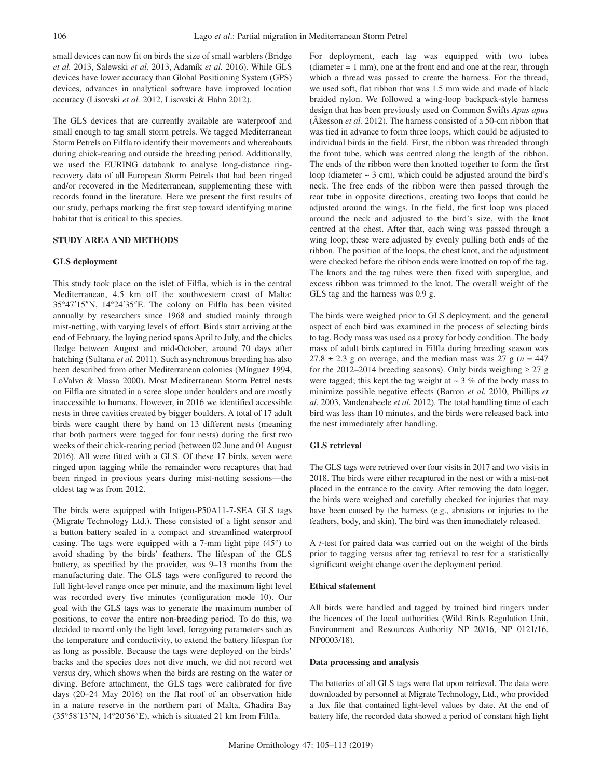small devices can now fit on birds the size of small warblers (Bridge *et al.* 2013, Salewski *et al.* 2013, Adamík *et al.* 2016). While GLS devices have lower accuracy than Global Positioning System (GPS) devices, advances in analytical software have improved location accuracy (Lisovski *et al.* 2012, Lisovski & Hahn 2012).

The GLS devices that are currently available are waterproof and small enough to tag small storm petrels. We tagged Mediterranean Storm Petrels on Filfla to identify their movements and whereabouts during chick-rearing and outside the breeding period. Additionally, we used the EURING databank to analyse long-distance ringrecovery data of all European Storm Petrels that had been ringed and/or recovered in the Mediterranean, supplementing these with records found in the literature. Here we present the first results of our study, perhaps marking the first step toward identifying marine habitat that is critical to this species.

# **STUDY AREA AND METHODS**

### **GLS deployment**

This study took place on the islet of Filfla, which is in the central Mediterranean, 4.5 km off the southwestern coast of Malta: 35°47′15″N, 14°24′35″E. The colony on Filfla has been visited annually by researchers since 1968 and studied mainly through mist-netting, with varying levels of effort. Birds start arriving at the end of February, the laying period spans April to July, and the chicks fledge between August and mid-October, around 70 days after hatching (Sultana *et al.* 2011). Such asynchronous breeding has also been described from other Mediterranean colonies (Mínguez 1994, LoValvo & Massa 2000). Most Mediterranean Storm Petrel nests on Filfla are situated in a scree slope under boulders and are mostly inaccessible to humans. However, in 2016 we identified accessible nests in three cavities created by bigger boulders. A total of 17 adult birds were caught there by hand on 13 different nests (meaning that both partners were tagged for four nests) during the first two weeks of their chick-rearing period (between 02 June and 01 August 2016). All were fitted with a GLS. Of these 17 birds, seven were ringed upon tagging while the remainder were recaptures that had been ringed in previous years during mist-netting sessions—the oldest tag was from 2012.

The birds were equipped with Intigeo-P50A11-7-SEA GLS tags (Migrate Technology Ltd.). These consisted of a light sensor and a button battery sealed in a compact and streamlined waterproof casing. The tags were equipped with a 7-mm light pipe (45°) to avoid shading by the birds' feathers. The lifespan of the GLS battery, as specified by the provider, was 9–13 months from the manufacturing date. The GLS tags were configured to record the full light-level range once per minute, and the maximum light level was recorded every five minutes (configuration mode 10). Our goal with the GLS tags was to generate the maximum number of positions, to cover the entire non-breeding period. To do this, we decided to record only the light level, foregoing parameters such as the temperature and conductivity, to extend the battery lifespan for as long as possible. Because the tags were deployed on the birds' backs and the species does not dive much, we did not record wet versus dry, which shows when the birds are resting on the water or diving. Before attachment, the GLS tags were calibrated for five days (20–24 May 2016) on the flat roof of an observation hide in a nature reserve in the northern part of Malta, Għadira Bay (35°58′13″N, 14°20′56″E), which is situated 21 km from Filfla.

For deployment, each tag was equipped with two tubes  $(diameter = 1 mm)$ , one at the front end and one at the rear, through which a thread was passed to create the harness. For the thread, we used soft, flat ribbon that was 1.5 mm wide and made of black braided nylon. We followed a wing-loop backpack-style harness design that has been previously used on Common Swifts *Apus apus* (Åkesson *et al.* 2012). The harness consisted of a 50-cm ribbon that was tied in advance to form three loops, which could be adjusted to individual birds in the field. First, the ribbon was threaded through the front tube, which was centred along the length of the ribbon. The ends of the ribbon were then knotted together to form the first loop (diameter  $\sim$  3 cm), which could be adjusted around the bird's neck. The free ends of the ribbon were then passed through the rear tube in opposite directions, creating two loops that could be adjusted around the wings. In the field, the first loop was placed around the neck and adjusted to the bird's size, with the knot centred at the chest. After that, each wing was passed through a wing loop; these were adjusted by evenly pulling both ends of the ribbon. The position of the loops, the chest knot, and the adjustment were checked before the ribbon ends were knotted on top of the tag. The knots and the tag tubes were then fixed with superglue, and excess ribbon was trimmed to the knot. The overall weight of the GLS tag and the harness was 0.9 g.

The birds were weighed prior to GLS deployment, and the general aspect of each bird was examined in the process of selecting birds to tag. Body mass was used as a proxy for body condition. The body mass of adult birds captured in Filfla during breeding season was  $27.8 \pm 2.3$  g on average, and the median mass was 27 g ( $n = 447$ ) for the 2012–2014 breeding seasons). Only birds weighing  $\geq 27$  g were tagged; this kept the tag weight at  $\sim$  3 % of the body mass to minimize possible negative effects (Barron *et al.* 2010, Phillips *et al.* 2003, Vandenabeele *et al.* 2012). The total handling time of each bird was less than 10 minutes, and the birds were released back into the nest immediately after handling.

### **GLS retrieval**

The GLS tags were retrieved over four visits in 2017 and two visits in 2018. The birds were either recaptured in the nest or with a mist-net placed in the entrance to the cavity. After removing the data logger, the birds were weighed and carefully checked for injuries that may have been caused by the harness (e.g., abrasions or injuries to the feathers, body, and skin). The bird was then immediately released.

A *t*-test for paired data was carried out on the weight of the birds prior to tagging versus after tag retrieval to test for a statistically significant weight change over the deployment period.

### **Ethical statement**

All birds were handled and tagged by trained bird ringers under the licences of the local authorities (Wild Birds Regulation Unit, Environment and Resources Authority NP 20/16, NP 0121/16, NP0003/18).

### **Data processing and analysis**

The batteries of all GLS tags were flat upon retrieval. The data were downloaded by personnel at Migrate Technology, Ltd., who provided a .lux file that contained light-level values by date. At the end of battery life, the recorded data showed a period of constant high light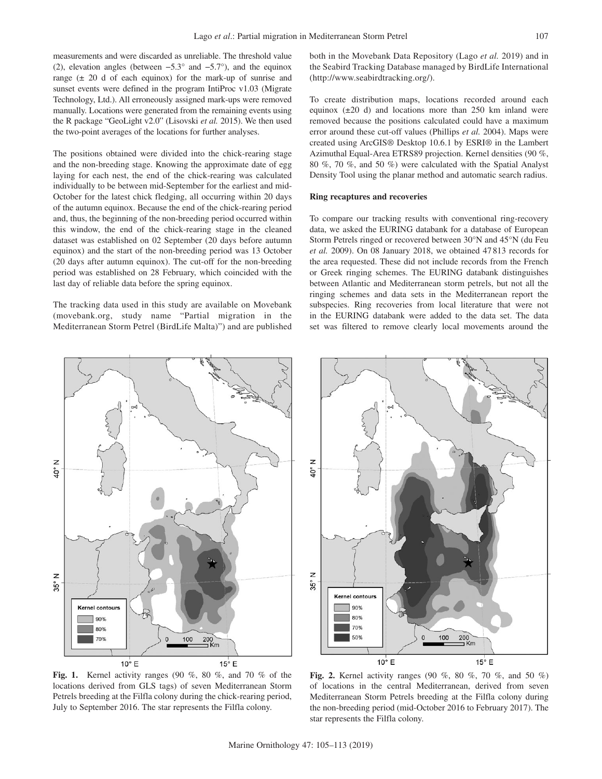measurements and were discarded as unreliable. The threshold value (2), elevation angles (between −5.3° and −5.7°), and the equinox range  $(\pm 20$  d of each equinox) for the mark-up of sunrise and sunset events were defined in the program IntiProc v1.03 (Migrate Technology, Ltd.). All erroneously assigned mark-ups were removed manually. Locations were generated from the remaining events using the R package "GeoLight v2.0" (Lisovski *et al.* 2015). We then used the two-point averages of the locations for further analyses.

The positions obtained were divided into the chick-rearing stage and the non-breeding stage. Knowing the approximate date of egg laying for each nest, the end of the chick-rearing was calculated individually to be between mid-September for the earliest and mid-October for the latest chick fledging, all occurring within 20 days of the autumn equinox. Because the end of the chick-rearing period and, thus, the beginning of the non-breeding period occurred within this window, the end of the chick-rearing stage in the cleaned dataset was established on 02 September (20 days before autumn equinox) and the start of the non-breeding period was 13 October (20 days after autumn equinox). The cut-off for the non-breeding period was established on 28 February, which coincided with the last day of reliable data before the spring equinox.

The tracking data used in this study are available on Movebank (movebank.org, study name "Partial migration in the Mediterranean Storm Petrel (BirdLife Malta)") and are published both in the Movebank Data Repository (Lago *et al.* 2019) and in the Seabird Tracking Database managed by BirdLife International (http://www.seabirdtracking.org/).

To create distribution maps, locations recorded around each equinox  $(\pm 20 \text{ d})$  and locations more than 250 km inland were removed because the positions calculated could have a maximum error around these cut-off values (Phillips *et al.* 2004). Maps were created using ArcGIS® Desktop 10.6.1 by ESRI® in the Lambert Azimuthal Equal-Area ETRS89 projection. Kernel densities (90 %, 80 %, 70 %, and 50 %) were calculated with the Spatial Analyst Density Tool using the planar method and automatic search radius.

### **Ring recaptures and recoveries**

To compare our tracking results with conventional ring-recovery data, we asked the EURING databank for a database of European Storm Petrels ringed or recovered between 30°N and 45°N (du Feu *et al.* 2009). On 08 January 2018, we obtained 47 813 records for the area requested. These did not include records from the French or Greek ringing schemes. The EURING databank distinguishes between Atlantic and Mediterranean storm petrels, but not all the ringing schemes and data sets in the Mediterranean report the subspecies. Ring recoveries from local literature that were not in the EURING databank were added to the data set. The data set was filtered to remove clearly local movements around the



Z  $\frac{6}{9}$ Z  $35^{\circ}$ Kernel contour 90% 80% 70%  $200$ <br> $\equiv$  Km 50% 100  $10^{\circ}$  E  $15^{\circ}$  E

**Fig. 1.** Kernel activity ranges (90 %, 80 %, and 70 % of the locations derived from GLS tags) of seven Mediterranean Storm Petrels breeding at the Filfla colony during the chick-rearing period, July to September 2016. The star represents the Filfla colony.

**Fig. 2.** Kernel activity ranges (90 %, 80 %, 70 %, and 50 %) of locations in the central Mediterranean, derived from seven Mediterranean Storm Petrels breeding at the Filfla colony during the non-breeding period (mid-October 2016 to February 2017). The star represents the Filfla colony.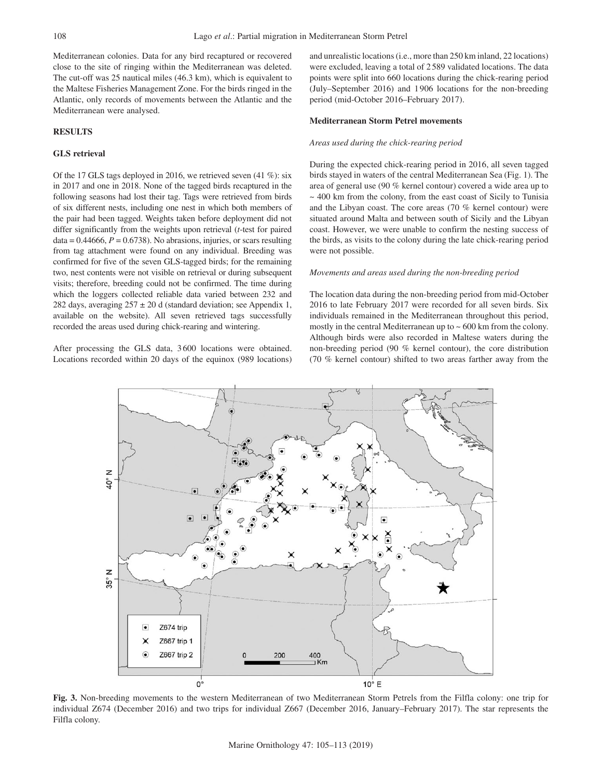Mediterranean colonies. Data for any bird recaptured or recovered close to the site of ringing within the Mediterranean was deleted. The cut-off was 25 nautical miles (46.3 km), which is equivalent to the Maltese Fisheries Management Zone. For the birds ringed in the Atlantic, only records of movements between the Atlantic and the Mediterranean were analysed.

### **RESULTS**

# **GLS retrieval**

Of the 17 GLS tags deployed in 2016, we retrieved seven (41 %): six in 2017 and one in 2018. None of the tagged birds recaptured in the following seasons had lost their tag. Tags were retrieved from birds of six different nests, including one nest in which both members of the pair had been tagged. Weights taken before deployment did not differ significantly from the weights upon retrieval (*t*-test for paired  $data = 0.44666$ ,  $P = 0.6738$ ). No abrasions, injuries, or scars resulting from tag attachment were found on any individual. Breeding was confirmed for five of the seven GLS-tagged birds; for the remaining two, nest contents were not visible on retrieval or during subsequent visits; therefore, breeding could not be confirmed. The time during which the loggers collected reliable data varied between 232 and 282 days, averaging  $257 \pm 20$  d (standard deviation; see Appendix 1, available on the website). All seven retrieved tags successfully recorded the areas used during chick-rearing and wintering.

After processing the GLS data, 3600 locations were obtained. Locations recorded within 20 days of the equinox (989 locations) and unrealistic locations (i.e., more than 250 km inland, 22 locations) were excluded, leaving a total of 2 589 validated locations. The data points were split into 660 locations during the chick-rearing period (July–September 2016) and 1906 locations for the non-breeding period (mid-October 2016–February 2017).

### **Mediterranean Storm Petrel movements**

#### *Areas used during the chick-rearing period*

During the expected chick-rearing period in 2016, all seven tagged birds stayed in waters of the central Mediterranean Sea (Fig. 1). The area of general use (90 % kernel contour) covered a wide area up to  $\sim$  400 km from the colony, from the east coast of Sicily to Tunisia and the Libyan coast. The core areas (70 % kernel contour) were situated around Malta and between south of Sicily and the Libyan coast. However, we were unable to confirm the nesting success of the birds, as visits to the colony during the late chick-rearing period were not possible.

### *Movements and areas used during the non-breeding period*

The location data during the non-breeding period from mid-October 2016 to late February 2017 were recorded for all seven birds. Six individuals remained in the Mediterranean throughout this period, mostly in the central Mediterranean up to  $\sim 600$  km from the colony. Although birds were also recorded in Maltese waters during the non-breeding period (90 % kernel contour), the core distribution (70 % kernel contour) shifted to two areas farther away from the



**Fig. 3.** Non-breeding movements to the western Mediterranean of two Mediterranean Storm Petrels from the Filfla colony: one trip for individual Z674 (December 2016) and two trips for individual Z667 (December 2016, January–February 2017). The star represents the Filfla colony.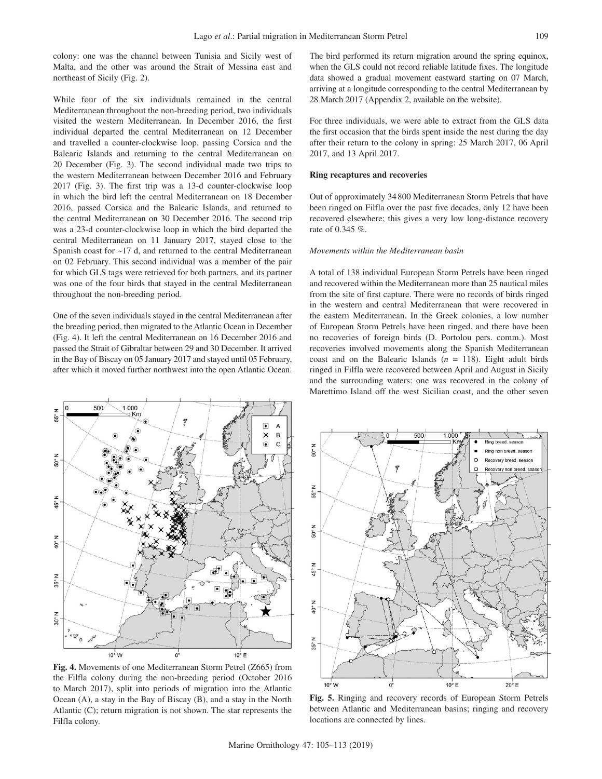colony: one was the channel between Tunisia and Sicily west of Malta, and the other was around the Strait of Messina east and northeast of Sicily (Fig. 2).

While four of the six individuals remained in the central Mediterranean throughout the non-breeding period, two individuals visited the western Mediterranean. In December 2016, the first individual departed the central Mediterranean on 12 December and travelled a counter-clockwise loop, passing Corsica and the Balearic Islands and returning to the central Mediterranean on 20 December (Fig. 3). The second individual made two trips to the western Mediterranean between December 2016 and February 2017 (Fig. 3). The first trip was a 13-d counter-clockwise loop in which the bird left the central Mediterranean on 18 December 2016, passed Corsica and the Balearic Islands, and returned to the central Mediterranean on 30 December 2016. The second trip was a 23-d counter-clockwise loop in which the bird departed the central Mediterranean on 11 January 2017, stayed close to the Spanish coast for ~17 d, and returned to the central Mediterranean on 02 February. This second individual was a member of the pair for which GLS tags were retrieved for both partners, and its partner was one of the four birds that stayed in the central Mediterranean throughout the non-breeding period.

One of the seven individuals stayed in the central Mediterranean after the breeding period, then migrated to the Atlantic Ocean in December (Fig. 4). It left the central Mediterranean on 16 December 2016 and passed the Strait of Gibraltar between 29 and 30 December. It arrived in the Bay of Biscay on 05 January 2017 and stayed until 05 February, after which it moved further northwest into the open Atlantic Ocean. The bird performed its return migration around the spring equinox, when the GLS could not record reliable latitude fixes. The longitude data showed a gradual movement eastward starting on 07 March, arriving at a longitude corresponding to the central Mediterranean by 28 March 2017 (Appendix 2, available on the website).

For three individuals, we were able to extract from the GLS data the first occasion that the birds spent inside the nest during the day after their return to the colony in spring: 25 March 2017, 06 April 2017, and 13 April 2017.

### **Ring recaptures and recoveries**

Out of approximately 34 800 Mediterranean Storm Petrels that have been ringed on Filfla over the past five decades, only 12 have been recovered elsewhere; this gives a very low long-distance recovery rate of 0.345 %.

#### *Movements within the Mediterranean basin*

A total of 138 individual European Storm Petrels have been ringed and recovered within the Mediterranean more than 25 nautical miles from the site of first capture. There were no records of birds ringed in the western and central Mediterranean that were recovered in the eastern Mediterranean. In the Greek colonies, a low number of European Storm Petrels have been ringed, and there have been no recoveries of foreign birds (D. Portolou pers. comm.). Most recoveries involved movements along the Spanish Mediterranean coast and on the Balearic Islands  $(n = 118)$ . Eight adult birds ringed in Filfla were recovered between April and August in Sicily and the surrounding waters: one was recovered in the colony of Marettimo Island off the west Sicilian coast, and the other seven



**Fig. 4.** Movements of one Mediterranean Storm Petrel (Z665) from the Filfla colony during the non-breeding period (October 2016 to March 2017), split into periods of migration into the Atlantic Ocean (A), a stay in the Bay of Biscay (B), and a stay in the North Atlantic (C); return migration is not shown. The star represents the Filfla colony.



**Fig. 5.** Ringing and recovery records of European Storm Petrels between Atlantic and Mediterranean basins; ringing and recovery locations are connected by lines.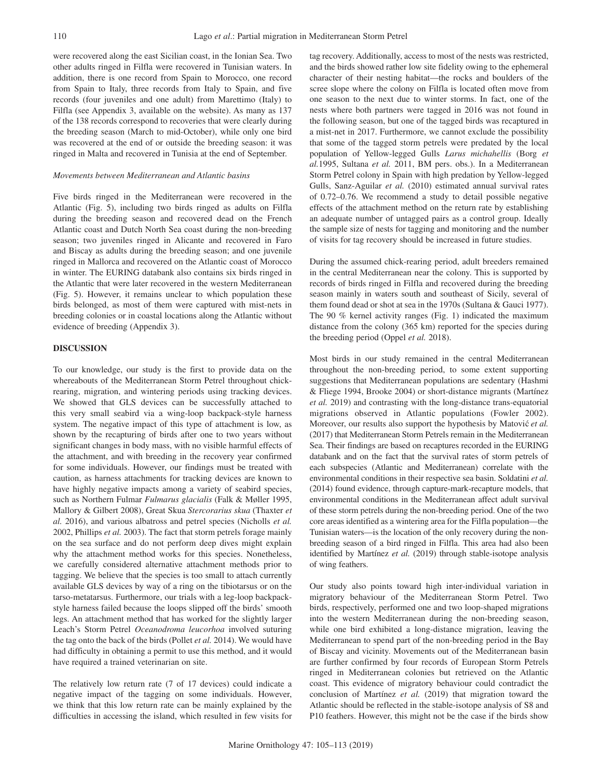were recovered along the east Sicilian coast, in the Ionian Sea. Two other adults ringed in Filfla were recovered in Tunisian waters. In addition, there is one record from Spain to Morocco, one record from Spain to Italy, three records from Italy to Spain, and five records (four juveniles and one adult) from Marettimo (Italy) to Filfla (see Appendix 3, available on the website). As many as 137 of the 138 records correspond to recoveries that were clearly during the breeding season (March to mid-October), while only one bird was recovered at the end of or outside the breeding season: it was ringed in Malta and recovered in Tunisia at the end of September.

#### *Movements between Mediterranean and Atlantic basins*

Five birds ringed in the Mediterranean were recovered in the Atlantic (Fig. 5), including two birds ringed as adults on Filfla during the breeding season and recovered dead on the French Atlantic coast and Dutch North Sea coast during the non-breeding season; two juveniles ringed in Alicante and recovered in Faro and Biscay as adults during the breeding season; and one juvenile ringed in Mallorca and recovered on the Atlantic coast of Morocco in winter. The EURING databank also contains six birds ringed in the Atlantic that were later recovered in the western Mediterranean (Fig. 5). However, it remains unclear to which population these birds belonged, as most of them were captured with mist-nets in breeding colonies or in coastal locations along the Atlantic without evidence of breeding (Appendix 3).

# **DISCUSSION**

To our knowledge, our study is the first to provide data on the whereabouts of the Mediterranean Storm Petrel throughout chickrearing, migration, and wintering periods using tracking devices. We showed that GLS devices can be successfully attached to this very small seabird via a wing-loop backpack-style harness system. The negative impact of this type of attachment is low, as shown by the recapturing of birds after one to two years without significant changes in body mass, with no visible harmful effects of the attachment, and with breeding in the recovery year confirmed for some individuals. However, our findings must be treated with caution, as harness attachments for tracking devices are known to have highly negative impacts among a variety of seabird species, such as Northern Fulmar *Fulmarus glacialis* (Falk & Møller 1995, Mallory & Gilbert 2008), Great Skua *Stercorarius skua* (Thaxter *et al.* 2016), and various albatross and petrel species (Nicholls *et al.* 2002, Phillips *et al.* 2003). The fact that storm petrels forage mainly on the sea surface and do not perform deep dives might explain why the attachment method works for this species. Nonetheless, we carefully considered alternative attachment methods prior to tagging. We believe that the species is too small to attach currently available GLS devices by way of a ring on the tibiotarsus or on the tarso-metatarsus. Furthermore, our trials with a leg-loop backpackstyle harness failed because the loops slipped off the birds' smooth legs. An attachment method that has worked for the slightly larger Leach's Storm Petrel *Oceanodroma leucorhoa* involved suturing the tag onto the back of the birds (Pollet *et al.* 2014). We would have had difficulty in obtaining a permit to use this method, and it would have required a trained veterinarian on site.

The relatively low return rate (7 of 17 devices) could indicate a negative impact of the tagging on some individuals. However, we think that this low return rate can be mainly explained by the difficulties in accessing the island, which resulted in few visits for tag recovery. Additionally, access to most of the nests was restricted, and the birds showed rather low site fidelity owing to the ephemeral character of their nesting habitat—the rocks and boulders of the scree slope where the colony on Filfla is located often move from one season to the next due to winter storms. In fact, one of the nests where both partners were tagged in 2016 was not found in the following season, but one of the tagged birds was recaptured in a mist-net in 2017. Furthermore, we cannot exclude the possibility that some of the tagged storm petrels were predated by the local population of Yellow-legged Gulls *Larus michahellis* (Borg *et al.*1995, Sultana *et al.* 2011, BM pers. obs.). In a Mediterranean Storm Petrel colony in Spain with high predation by Yellow-legged Gulls, Sanz-Aguilar *et al.* (2010) estimated annual survival rates of 0.72–0.76. We recommend a study to detail possible negative effects of the attachment method on the return rate by establishing an adequate number of untagged pairs as a control group. Ideally the sample size of nests for tagging and monitoring and the number of visits for tag recovery should be increased in future studies.

During the assumed chick-rearing period, adult breeders remained in the central Mediterranean near the colony. This is supported by records of birds ringed in Filfla and recovered during the breeding season mainly in waters south and southeast of Sicily, several of them found dead or shot at sea in the 1970s (Sultana & Gauci 1977). The 90  $%$  kernel activity ranges (Fig. 1) indicated the maximum distance from the colony (365 km) reported for the species during the breeding period (Oppel *et al.* 2018).

Most birds in our study remained in the central Mediterranean throughout the non-breeding period, to some extent supporting suggestions that Mediterranean populations are sedentary (Hashmi & Fliege 1994, Brooke 2004) or short-distance migrants (Martínez *et al.* 2019) and contrasting with the long-distance trans-equatorial migrations observed in Atlantic populations (Fowler 2002). Moreover, our results also support the hypothesis by Matović et al. (2017) that Mediterranean Storm Petrels remain in the Mediterranean Sea. Their findings are based on recaptures recorded in the EURING databank and on the fact that the survival rates of storm petrels of each subspecies (Atlantic and Mediterranean) correlate with the environmental conditions in their respective sea basin. Soldatini *et al.* (2014) found evidence, through capture-mark-recapture models, that environmental conditions in the Mediterranean affect adult survival of these storm petrels during the non-breeding period. One of the two core areas identified as a wintering area for the Filfla population—the Tunisian waters—is the location of the only recovery during the nonbreeding season of a bird ringed in Filfla. This area had also been identified by Martínez *et al.* (2019) through stable-isotope analysis of wing feathers.

Our study also points toward high inter-individual variation in migratory behaviour of the Mediterranean Storm Petrel. Two birds, respectively, performed one and two loop-shaped migrations into the western Mediterranean during the non-breeding season, while one bird exhibited a long-distance migration, leaving the Mediterranean to spend part of the non-breeding period in the Bay of Biscay and vicinity. Movements out of the Mediterranean basin are further confirmed by four records of European Storm Petrels ringed in Mediterranean colonies but retrieved on the Atlantic coast. This evidence of migratory behaviour could contradict the conclusion of Martínez *et al.* (2019) that migration toward the Atlantic should be reflected in the stable-isotope analysis of S8 and P10 feathers. However, this might not be the case if the birds show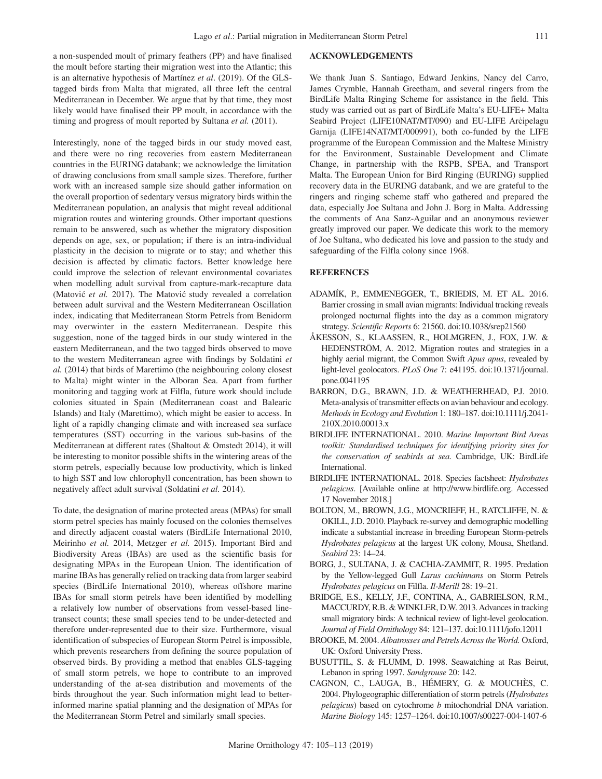a non-suspended moult of primary feathers (PP) and have finalised the moult before starting their migration west into the Atlantic; this is an alternative hypothesis of Martínez *et al*. (2019). Of the GLStagged birds from Malta that migrated, all three left the central Mediterranean in December. We argue that by that time, they most likely would have finalised their PP moult, in accordance with the timing and progress of moult reported by Sultana *et al.* (2011).

Interestingly, none of the tagged birds in our study moved east, and there were no ring recoveries from eastern Mediterranean countries in the EURING databank; we acknowledge the limitation of drawing conclusions from small sample sizes. Therefore, further work with an increased sample size should gather information on the overall proportion of sedentary versus migratory birds within the Mediterranean population, an analysis that might reveal additional migration routes and wintering grounds. Other important questions remain to be answered, such as whether the migratory disposition depends on age, sex, or population; if there is an intra-individual plasticity in the decision to migrate or to stay; and whether this decision is affected by climatic factors. Better knowledge here could improve the selection of relevant environmental covariates when modelling adult survival from capture-mark-recapture data (Matović et al. 2017). The Matović study revealed a correlation between adult survival and the Western Mediterranean Oscillation index, indicating that Mediterranean Storm Petrels from Benidorm may overwinter in the eastern Mediterranean. Despite this suggestion, none of the tagged birds in our study wintered in the eastern Mediterranean, and the two tagged birds observed to move to the western Mediterranean agree with findings by Soldatini *et al.* (2014) that birds of Marettimo (the neighbouring colony closest to Malta) might winter in the Alboran Sea. Apart from further monitoring and tagging work at Filfla, future work should include colonies situated in Spain (Mediterranean coast and Balearic Islands) and Italy (Marettimo), which might be easier to access. In light of a rapidly changing climate and with increased sea surface temperatures (SST) occurring in the various sub-basins of the Mediterranean at different rates (Shaltout & Omstedt 2014), it will be interesting to monitor possible shifts in the wintering areas of the storm petrels, especially because low productivity, which is linked to high SST and low chlorophyll concentration, has been shown to negatively affect adult survival (Soldatini *et al.* 2014).

To date, the designation of marine protected areas (MPAs) for small storm petrel species has mainly focused on the colonies themselves and directly adjacent coastal waters (BirdLife International 2010, Meirinho *et al.* 2014, Metzger *et al.* 2015). Important Bird and Biodiversity Areas (IBAs) are used as the scientific basis for designating MPAs in the European Union. The identification of marine IBAs has generally relied on tracking data from larger seabird species (BirdLife International 2010), whereas offshore marine IBAs for small storm petrels have been identified by modelling a relatively low number of observations from vessel-based linetransect counts; these small species tend to be under-detected and therefore under-represented due to their size. Furthermore, visual identification of subspecies of European Storm Petrel is impossible, which prevents researchers from defining the source population of observed birds. By providing a method that enables GLS-tagging of small storm petrels, we hope to contribute to an improved understanding of the at-sea distribution and movements of the birds throughout the year. Such information might lead to betterinformed marine spatial planning and the designation of MPAs for the Mediterranean Storm Petrel and similarly small species.

### **ACKNOWLEDGEMENTS**

We thank Juan S. Santiago, Edward Jenkins, Nancy del Carro, James Crymble, Hannah Greetham, and several ringers from the BirdLife Malta Ringing Scheme for assistance in the field. This study was carried out as part of BirdLife Malta's EU-LIFE+ Malta Seabird Project (LIFE10NAT/MT/090) and EU-LIFE Arcipelagu Garnija (LIFE14NAT/MT/000991), both co-funded by the LIFE programme of the European Commission and the Maltese Ministry for the Environment, Sustainable Development and Climate Change, in partnership with the RSPB, SPEA, and Transport Malta. The European Union for Bird Ringing (EURING) supplied recovery data in the EURING databank, and we are grateful to the ringers and ringing scheme staff who gathered and prepared the data, especially Joe Sultana and John J. Borg in Malta. Addressing the comments of Ana Sanz-Aguilar and an anonymous reviewer greatly improved our paper. We dedicate this work to the memory of Joe Sultana, who dedicated his love and passion to the study and safeguarding of the Filfla colony since 1968.

### **REFERENCES**

- ADAMÍK, P., EMMENEGGER, T., BRIEDIS, M. ET AL. 2016. Barrier crossing in small avian migrants: Individual tracking reveals prolonged nocturnal flights into the day as a common migratory strategy. *Scientific Reports* 6: 21560. doi:10.1038/srep21560
- ÅKESSON, S., KLAASSEN, R., HOLMGREN, J., FOX, J.W. & HEDENSTRÖM, A. 2012. Migration routes and strategies in a highly aerial migrant, the Common Swift *Apus apus*, revealed by light-level geolocators. *PLoS One* 7: e41195. doi:10.1371/journal. pone.0041195
- BARRON, D.G., BRAWN, J.D. & WEATHERHEAD, P.J. 2010. Meta-analysis of transmitter effects on avian behaviour and ecology. *Methods in Ecology and Evolution* 1: 180–187. doi:10.1111/j.2041- 210X.2010.00013.x
- BIRDLIFE INTERNATIONAL. 2010. *Marine Important Bird Areas toolkit: Standardised techniques for identifying priority sites for the conservation of seabirds at sea.* Cambridge, UK: BirdLife International.
- BIRDLIFE INTERNATIONAL. 2018. Species factsheet: *Hydrobates pelagicus*. [Available online at http://www.birdlife.org. Accessed 17 November 2018.]
- BOLTON, M., BROWN, J.G., MONCRIEFF, H., RATCLIFFE, N. & OKILL, J.D. 2010. Playback re-survey and demographic modelling indicate a substantial increase in breeding European Storm-petrels *Hydrobates pelagicus* at the largest UK colony, Mousa, Shetland. *Seabird* 23: 14–24.
- BORG, J., SULTANA, J. & CACHIA-ZAMMIT, R. 1995. Predation by the Yellow-legged Gull *Larus cachinnans* on Storm Petrels *Hydrobates pelagicus* on Filfla. *Il-Merill* 28: 19–21.
- BRIDGE, E.S., KELLY, J.F., CONTINA, A., GABRIELSON, R.M., MACCURDY, R.B. & WINKLER, D.W. 2013. Advances in tracking small migratory birds: A technical review of light-level geolocation. *Journal of Field Ornithology* 84: 121–137. doi:10.1111/jofo.12011
- BROOKE, M. 2004. *Albatrosses and Petrels Across the World.* Oxford, UK: Oxford University Press.
- BUSUTTIL, S. & FLUMM, D. 1998. Seawatching at Ras Beirut, Lebanon in spring 1997. *Sandgrouse* 20: 142.
- CAGNON, C., LAUGA, B., HÉMERY, G. & MOUCHÈS, C. 2004. Phylogeographic differentiation of storm petrels (*Hydrobates pelagicus*) based on cytochrome *b* mitochondrial DNA variation. *Marine Biology* 145: 1257–1264. doi:10.1007/s00227-004-1407-6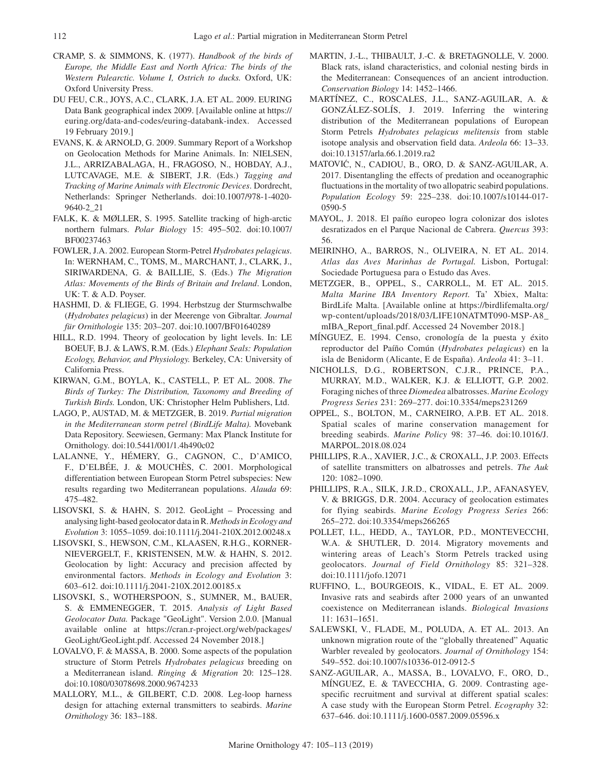- CRAMP, S. & SIMMONS, K. (1977). *Handbook of the birds of Europe, the Middle East and North Africa: The birds of the Western Palearctic. Volume I, Ostrich to ducks.* Oxford, UK: Oxford University Press.
- DU FEU, C.R., JOYS, A.C., CLARK, J.A. ET AL. 2009. EURING Data Bank geographical index 2009. [Available online at https:// euring.org/data-and-codes/euring-databank-index. Accessed 19 February 2019.]
- EVANS, K. & ARNOLD, G. 2009. Summary Report of a Workshop on Geolocation Methods for Marine Animals. In: NIELSEN, J.L., ARRIZABALAGA, H., FRAGOSO, N., HOBDAY, A.J., LUTCAVAGE, M.E. & SIBERT, J.R. (Eds.) *Tagging and Tracking of Marine Animals with Electronic Devices*. Dordrecht, Netherlands: Springer Netherlands. doi:10.1007/978-1-4020- 9640-2\_21
- FALK, K. & MØLLER, S. 1995. Satellite tracking of high-arctic northern fulmars. *Polar Biology* 15: 495–502. doi:10.1007/ BF00237463
- FOWLER, J.A. 2002. European Storm-Petrel *Hydrobates pelagicus*. In: WERNHAM, C., TOMS, M., MARCHANT, J., CLARK, J., SIRIWARDENA, G. & BAILLIE, S. (Eds.) *The Migration Atlas: Movements of the Birds of Britain and Ireland*. London, UK: T. & A.D. Poyser.
- HASHMI, D. & FLIEGE, G. 1994. Herbstzug der Sturmschwalbe (*Hydrobates pelagicus*) in der Meerenge von Gibraltar. *Journal für Ornithologie* 135: 203–207. doi:10.1007/BF01640289
- HILL, R.D. 1994. Theory of geolocation by light levels. In: LE BOEUF, B.J. & LAWS, R.M. (Eds.) *Elephant Seals: Population Ecology, Behavior, and Physiology.* Berkeley, CA: University of California Press.
- KIRWAN, G.M., BOYLA, K., CASTELL, P. ET AL. 2008. *The Birds of Turkey: The Distribution, Taxonomy and Breeding of Turkish Birds.* London, UK: Christopher Helm Publishers, Ltd.
- LAGO, P., AUSTAD, M. & METZGER, B. 2019. *Partial migration in the Mediterranean storm petrel (BirdLife Malta).* Movebank Data Repository. Seewiesen, Germany: Max Planck Institute for Ornithology. doi:10.5441/001/1.4h490c02
- LALANNE, Y., HÉMERY, G., CAGNON, C., D'AMICO, F., D'ELBÉE, J. & MOUCHÈS, C. 2001. Morphological differentiation between European Storm Petrel subspecies: New results regarding two Mediterranean populations. *Alauda* 69: 475–482.
- LISOVSKI, S. & HAHN, S. 2012. GeoLight Processing and analysing light-based geolocator data in R. *Methods in Ecology and Evolution* 3: 1055–1059. doi:10.1111/j.2041-210X.2012.00248.x
- LISOVSKI, S., HEWSON, C.M., KLAASEN, R.H.G., KORNER-NIEVERGELT, F., KRISTENSEN, M.W. & HAHN, S. 2012. Geolocation by light: Accuracy and precision affected by environmental factors. *Methods in Ecology and Evolution* 3: 603–612. doi:10.1111/j.2041-210X.2012.00185.x
- LISOVSKI, S., WOTHERSPOON, S., SUMNER, M., BAUER, S. & EMMENEGGER, T. 2015. *Analysis of Light Based Geolocator Data.* Package "GeoLight". Version 2.0.0. [Manual available online at https://cran.r-project.org/web/packages/ GeoLight/GeoLight.pdf. Accessed 24 November 2018.]
- LOVALVO, F. & MASSA, B. 2000. Some aspects of the population structure of Storm Petrels *Hydrobates pelagicus* breeding on a Mediterranean island. *Ringing & Migration* 20: 125–128. doi:10.1080/03078698.2000.9674233
- MALLORY, M.L., & GILBERT, C.D. 2008. Leg-loop harness design for attaching external transmitters to seabirds. *Marine Ornithology* 36: 183–188.
- MARTIN, J.-L., THIBAULT, J.-C. & BRETAGNOLLE, V. 2000. Black rats, island characteristics, and colonial nesting birds in the Mediterranean: Consequences of an ancient introduction. *Conservation Biology* 14: 1452–1466.
- MARTÍNEZ, C., ROSCALES, J.L., SANZ-AGUILAR, A. & GONZÁLEZ-SOLÍS, J. 2019. Inferring the wintering distribution of the Mediterranean populations of European Storm Petrels *Hydrobates pelagicus melitensis* from stable isotope analysis and observation field data. *Ardeola* 66: 13–33. doi:10.13157/arla.66.1.2019.ra2
- MATOVIC´ , N., CADIOU, B., ORO, D. & SANZ-AGUILAR, A. 2017. Disentangling the effects of predation and oceanographic fluctuations in the mortality of two allopatric seabird populations. *Population Ecology* 59: 225–238. doi:10.1007/s10144-017- 0590-5
- MAYOL, J. 2018. El paíño europeo logra colonizar dos islotes desratizados en el Parque Nacional de Cabrera. *Quercus* 393: 56.
- MEIRINHO, A., BARROS, N., OLIVEIRA, N. ET AL. 2014. *Atlas das Aves Marinhas de Portugal.* Lisbon, Portugal: Sociedade Portuguesa para o Estudo das Aves.
- METZGER, B., OPPEL, S., CARROLL, M. ET AL. 2015. *Malta Marine IBA Inventory Report.* Ta' Xbiex, Malta: BirdLife Malta. [Available online at https://birdlifemalta.org/ wp-content/uploads/2018/03/LIFE10NATMT090-MSP-A8\_ mIBA\_Report\_final.pdf. Accessed 24 November 2018.]
- MÍNGUEZ, E. 1994. Censo, cronología de la puesta y éxito reproductor del Paíño Común (*Hydrobates pelagicus*) en la isla de Benidorm (Alicante, E de España). *Ardeola* 41: 3–11.
- NICHOLLS, D.G., ROBERTSON, C.J.R., PRINCE, P.A., MURRAY, M.D., WALKER, K.J. & ELLIOTT, G.P. 2002. Foraging niches of three *Diomedea* albatrosses. *Marine Ecology Progress Series* 231: 269–277. doi:10.3354/meps231269
- OPPEL, S., BOLTON, M., CARNEIRO, A.P.B. ET AL. 2018. Spatial scales of marine conservation management for breeding seabirds. *Marine Policy* 98: 37–46. doi:10.1016/J. MARPOL.2018.08.024
- PHILLIPS, R.A., XAVIER, J.C., & CROXALL, J.P. 2003. Effects of satellite transmitters on albatrosses and petrels. *The Auk* 120: 1082–1090.
- PHILLIPS, R.A., SILK, J.R.D., CROXALL, J.P., AFANASYEV, V. & BRIGGS, D.R. 2004. Accuracy of geolocation estimates for flying seabirds. *Marine Ecology Progress Series* 266: 265–272. doi:10.3354/meps266265
- POLLET, I.L., HEDD, A., TAYLOR, P.D., MONTEVECCHI, W.A. & SHUTLER, D. 2014. Migratory movements and wintering areas of Leach's Storm Petrels tracked using geolocators. *Journal of Field Ornithology* 85: 321–328. doi:10.1111/jofo.12071
- RUFFINO, L., BOURGEOIS, K., VIDAL, E. ET AL. 2009. Invasive rats and seabirds after 2 000 years of an unwanted coexistence on Mediterranean islands. *Biological Invasions*  11: 1631–1651.
- SALEWSKI, V., FLADE, M., POLUDA, A. ET AL. 2013. An unknown migration route of the "globally threatened" Aquatic Warbler revealed by geolocators. *Journal of Ornithology* 154: 549–552. doi:10.1007/s10336-012-0912-5
- SANZ-AGUILAR, A., MASSA, B., LOVALVO, F., ORO, D., MÍNGUEZ, E. & TAVECCHIA, G. 2009. Contrasting agespecific recruitment and survival at different spatial scales: A case study with the European Storm Petrel. *Ecography* 32: 637–646. doi:10.1111/j.1600-0587.2009.05596.x